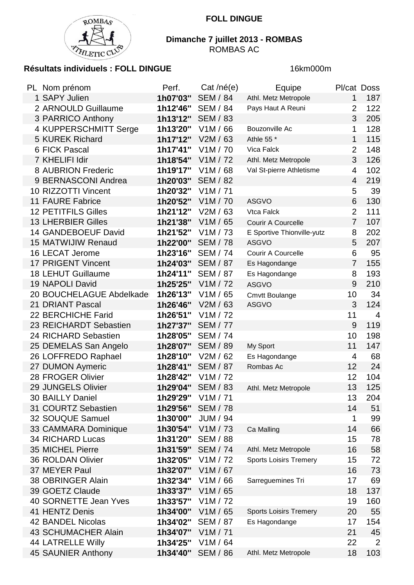

## **Dimanche 7 juillet 2013 - ROMBAS** ROMBAS AC

## **Résultats individuels : FOLL DINGUE** 16km000m

| PL Nom prénom              | Perf.    | Cat /né(e)            | Equipe                        | Pl/cat Doss    |                |
|----------------------------|----------|-----------------------|-------------------------------|----------------|----------------|
| 1 SAPY Julien              | 1h07'03" | <b>SEM / 84</b>       | Athl. Metz Metropole          | 1              | 187            |
| 2 ARNOULD Guillaume        | 1h12'46" | <b>SEM / 84</b>       | Pays Haut A Reuni             | $\overline{2}$ | 122            |
| 3 PARRICO Anthony          | 1h13'12" | <b>SEM / 83</b>       |                               | 3              | 205            |
| 4 KUPPERSCHMITT Serge      | 1h13'20" | V1M/66                | Bouzonville Ac                | 1              | 128            |
| 5 KUREK Richard            | 1h17'12" | V2M / 63              | Athle 55 *                    | 1              | 115            |
| 6 FICK Pascal              | 1h17'41" | V1M / 70              | Vica Falck                    | $\overline{2}$ | 148            |
| 7 KHELIFI Idir             | 1h18'54" | V1M / 72              | Athl. Metz Metropole          | 3              | 126            |
| 8 AUBRION Frederic         | 1h19'17" | V1M/68                | Val St-pierre Athletisme      | 4              | 102            |
| 9 BERNASCONI Andrea        | 1h20'03" | <b>SEM / 82</b>       |                               | 4              | 219            |
| 10 RIZZOTTI Vincent        | 1h20'32" | V1M / 71              |                               | 5              | 39             |
| <b>11 FAURE Fabrice</b>    | 1h20'52" | V1M / 70              | <b>ASGVO</b>                  | 6              | 130            |
| <b>12 PETITFILS Gilles</b> | 1h21'12" | V2M/63                | Vtca Falck                    | $\overline{2}$ | 111            |
| <b>13 LHERBIER Gilles</b>  | 1h21'38" | V1M / 65              | <b>Courir A Courcelle</b>     | $\overline{7}$ | 107            |
| 14 GANDEBOEUF David        | 1h21'52" | V1M / 73              | E Sportive Thionville-yutz    | 8              | 202            |
| 15 MATWIJIW Renaud         | 1h22'00" | <b>SEM / 78</b>       | <b>ASGVO</b>                  | 5              | 207            |
| 16 LECAT Jerome            | 1h23'16" | <b>SEM / 74</b>       | Courir A Courcelle            | 6              | 95             |
| 17 PRIGENT Vincent         | 1h24'03" | <b>SEM / 87</b>       | Es Hagondange                 | $\overline{7}$ | 155            |
| <b>18 LEHUT Guillaume</b>  | 1h24'11" | <b>SEM / 87</b>       | Es Hagondange                 | 8              | 193            |
| 19 NAPOLI David            | 1h25'25" | V1M / 72              | <b>ASGVO</b>                  | 9              | 210            |
| 20 BOUCHELAGUE Abdelkade   | 1h26'13" | V1M / 65              | <b>Cmvtt Boulange</b>         | 10             | 34             |
| 21 DRIANT Pascal           | 1h26'46" | V2M/63                | <b>ASGVO</b>                  | 3              | 124            |
| 22 BERCHICHE Farid         | 1h26'51" | V1M / 72              |                               | 11             | $\overline{4}$ |
| 23 REICHARDT Sebastien     | 1h27'37" | <b>SEM / 77</b>       |                               | 9              | 119            |
| 24 RICHARD Sebastien       | 1h28'05" | <b>SEM / 74</b>       |                               | 10             | 198            |
| 25 DEMELAS San Angelo      | 1h28'07" | <b>SEM / 89</b>       | My Sport                      | 11             | 147            |
| 26 LOFFREDO Raphael        | 1h28'10" | V2M / 62              | Es Hagondange                 | 4              | 68             |
| 27 DUMON Aymeric           | 1h28'41" | <b>SEM / 87</b>       | Rombas Ac                     | 12             | 24             |
| 28 FROGER Olivier          | 1h28'42" | V1M / 72              |                               | 12             | 104            |
| 29 JUNGELS Olivier         | 1h29'04" | <b>SEM / 83</b>       | Athl. Metz Metropole          | 13             | 125            |
| 30 BAILLY Daniel           | 1h29'29" | V1M / 71              |                               | 13             | 204            |
| 31 COURTZ Sebastien        | 1h29'56" | <b>SEM / 78</b>       |                               | 14             | 51             |
| 32 SOUQUE Samuel           | 1h30'00" | <b>JUM / 94</b>       |                               | 1              | 99             |
| 33 CAMMARA Dominique       | 1h30'54" | V1M / 73              | Ca Malling                    | 14             | 66             |
| <b>34 RICHARD Lucas</b>    | 1h31'20" | <b>SEM / 88</b>       |                               | 15             | 78             |
| 35 MICHEL Pierre           | 1h31'59" | <b>SEM / 74</b>       | Athl. Metz Metropole          | 16             | 58             |
| <b>36 ROLDAN Olivier</b>   | 1h32'05" | V1M / 72              | <b>Sports Loisirs Tremery</b> | 15             | 72             |
| 37 MEYER Paul              | 1h32'07" | V1M / 67              |                               | 16             | 73             |
| 38 OBRINGER Alain          | 1h32'34" | V <sub>1</sub> M / 66 | Sarreguemines Tri             | 17             | 69             |
| 39 GOETZ Claude            | 1h33'37" | V1M / 65              |                               | 18             | 137            |
| 40 SORNETTE Jean Yves      | 1h33'57" | V1M / 72              |                               | 19             | 160            |
| 41 HENTZ Denis             | 1h34'00" | V1M / 65              | <b>Sports Loisirs Tremery</b> | 20             | 55             |
| 42 BANDEL Nicolas          | 1h34'02" | <b>SEM / 87</b>       | Es Hagondange                 | 17             | 154            |
| <b>43 SCHUMACHER Alain</b> | 1h34'07" | V1M / 71              |                               | 21             | 45             |
| <b>44 LATRELLE Willy</b>   | 1h34'25" | V1M / 64              |                               | 22             | 2              |
| 45 SAUNIER Anthony         | 1h34'40" | <b>SEM / 86</b>       | Athl. Metz Metropole          | 18             | 103            |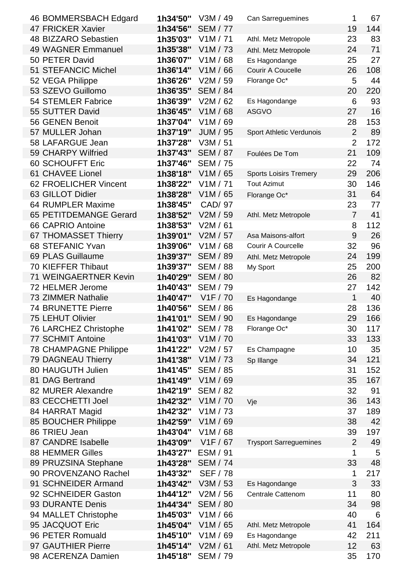| 46 BOMMERSBACH Edgard        | 1h34'50" | V3M / 49              | Can Sarreguemines             | 1              | 67  |
|------------------------------|----------|-----------------------|-------------------------------|----------------|-----|
| 47 FRICKER Xavier            | 1h34'56" | <b>SEM / 77</b>       |                               | 19             | 144 |
| 48 BIZZARO Sebastien         | 1h35'03" | V1M / 71              | Athl. Metz Metropole          | 23             | 83  |
| 49 WAGNER Emmanuel           | 1h35'38" | V1M / 73              | Athl. Metz Metropole          | 24             | 71  |
| 50 PETER David               | 1h36'07" | V1M/68                | Es Hagondange                 | 25             | 27  |
| 51 STEFANCIC Michel          | 1h36'14" | V1M / 66              | Courir A Coucelle             | 26             | 108 |
| 52 VEGA Philippe             | 1h36'26" | V2M / 59              | Florange Oc*                  | 5              | 44  |
| 53 SZEVO Guillomo            | 1h36'35" | <b>SEM / 84</b>       |                               | 20             | 220 |
| <b>54 STEMLER Fabrice</b>    | 1h36'39" | V2M/62                | Es Hagondange                 | 6              | 93  |
| 55 SUTTER David              | 1h36'45" | V1M / 68              | <b>ASGVO</b>                  | 27             | 16  |
| 56 GENEN Benoit              | 1h37'04" | V1M / 69              |                               | 28             | 153 |
| 57 MULLER Johan              | 1h37'19" | <b>JUM / 95</b>       | Sport Athletic Verdunois      | $\overline{2}$ | 89  |
| 58 LAFARGUE Jean             | 1h37'28" | V3M / 51              |                               | $\overline{2}$ | 172 |
| 59 CHARPY Wilfried           | 1h37'43" | <b>SEM / 87</b>       | Foulées De Tom                | 21             | 109 |
| 60 SCHOUFFT Eric             | 1h37'46" | <b>SEM / 75</b>       |                               | 22             | 74  |
| 61 CHAVEE Lionel             | 1h38'18" | V1M / 65              | <b>Sports Loisirs Tremery</b> | 29             | 206 |
| 62 FROELICHER Vincent        | 1h38'22" | V1M / 71              | <b>Tout Azimut</b>            | 30             | 146 |
| 63 GILLOT Didier             | 1h38'28" | V1M / 65              | Florange Oc*                  | 31             | 64  |
| 64 RUMPLER Maxime            | 1h38'45" | CAD/ 97               |                               | 23             | 77  |
| 65 PETITDEMANGE Gerard       | 1h38'52" | V2M / 59              | Athl. Metz Metropole          | $\overline{7}$ | 41  |
| 66 CAPRIO Antoine            | 1h38'53" | V2M / 61              |                               | 8              | 112 |
| 67 THOMASSET Thierry         | 1h39'01" | V2M / 57              | Asa Maisons-alfort            | 9              | 26  |
| 68 STEFANIC Yvan             | 1h39'06" | V1M / 68              | Courir A Courcelle            | 32             | 96  |
| 69 PLAS Guillaume            | 1h39'37" | <b>SEM / 89</b>       | Athl. Metz Metropole          | 24             | 199 |
| 70 KIEFFER Thibaut           | 1h39'37" | <b>SEM / 88</b>       | My Sport                      | 25             | 200 |
| 71 WEINGAERTNER Kevin        | 1h40'29" | <b>SEM / 80</b>       |                               | 26             | 82  |
| 72 HELMER Jerome             | 1h40'43" | <b>SEM / 79</b>       |                               | 27             | 142 |
| 73 ZIMMER Nathalie           | 1h40'47" | V1F / 70              | Es Hagondange                 | 1              | 40  |
| <b>74 BRUNETTE Pierre</b>    | 1h40'56" | <b>SEM / 86</b>       |                               | 28             | 136 |
| <b>75 LEHUT Olivier</b>      | 1h41'01" | <b>SEM / 90</b>       | Es Hagondange                 | 29             | 166 |
| 76 LARCHEZ Christophe        | 1h41'02" | <b>SEM / 78</b>       | Florange Oc*                  | 30             | 117 |
| <b>77 SCHMIT Antoine</b>     | 1h41'03" | V <sub>1</sub> M / 70 |                               | 33             | 133 |
| <b>78 CHAMPAGNE Philippe</b> | 1h41'22" | V2M / 57              | Es Champagne                  | 10             | 35  |
| <b>79 DAGNEAU Thierry</b>    | 1h41'38" | V1M / 73              | Sp Illange                    | 34             | 121 |
| 80 HAUGUTH Julien            | 1h41'45" | <b>SEM / 85</b>       |                               | 31             | 152 |
| 81 DAG Bertrand              | 1h41'49" | V1M / 69              |                               | 35             | 167 |
| 82 MURER Alexandre           | 1h42'19" | <b>SEM / 82</b>       |                               | 32             | 91  |
| 83 CECCHETTI Joel            | 1h42'32" | V <sub>1</sub> M / 70 | Vje                           | 36             | 143 |
| 84 HARRAT Magid              | 1h42'32" | V1M / 73              |                               | 37             | 189 |
| 85 BOUCHER Philippe          | 1h42'59" | V1M / 69              |                               | 38             | 42  |
| 86 TRIEU Jean                | 1h43'04" | V1M / 68              |                               | 39             | 197 |
| 87 CANDRE Isabelle           | 1h43'09" | V1F / 67              | <b>Trysport Sarreguemines</b> | $\overline{2}$ | 49  |
| <b>88 HEMMER Gilles</b>      | 1h43'27" | ESM / 91              |                               | 1              | 5   |
| 89 PRUZSINA Stephane         | 1h43'28" | <b>SEM / 74</b>       |                               | 33             | 48  |
| 90 PROVENZANO Rachel         | 1h43'32" | <b>SEF / 78</b>       |                               | 1              | 217 |
| 91 SCHNEIDER Armand          | 1h43'42" | V3M / 53              | Es Hagondange                 | 3              | 33  |
| 92 SCHNEIDER Gaston          | 1h44'12" | V2M / 56              | <b>Centrale Cattenom</b>      | 11             | 80  |
| 93 DURANTE Denis             | 1h44'34" | <b>SEM / 80</b>       |                               | 34             | 98  |
| 94 MALLET Christophe         | 1h45'03" | V1M / 66              |                               | 40             | 6   |
| 95 JACQUOT Eric              | 1h45'04" | V1M / 65              | Athl. Metz Metropole          | 41             | 164 |
| 96 PETER Romuald             | 1h45'10" | V1M / 69              | Es Hagondange                 | 42             | 211 |
| 97 GAUTHIER Pierre           | 1h45'14" | V2M / 61              | Athl. Metz Metropole          | 12             | 63  |
| 98 ACERENZA Damien           | 1h45'18" | <b>SEM / 79</b>       |                               | 35             | 170 |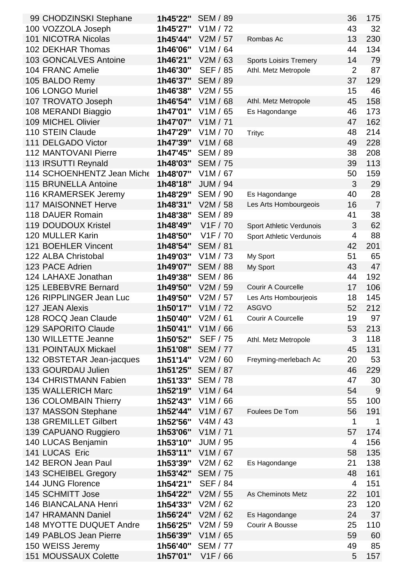| 99 CHODZINSKI Stephane       | 1h45'22" | <b>SEM / 89</b>       |                               | 36             | 175            |
|------------------------------|----------|-----------------------|-------------------------------|----------------|----------------|
| 100 VOZZOLA Joseph           | 1h45'27" | V1M / 72              |                               | 43             | 32             |
| <b>101 NICOTRA Nicolas</b>   | 1h45'44" | V2M / 57              | Rombas Ac                     | 13             | 230            |
| 102 DEKHAR Thomas            | 1h46'06" | V1M / 64              |                               | 44             | 134            |
| <b>103 GONCALVES Antoine</b> | 1h46'21" | V2M / 63              | <b>Sports Loisirs Tremery</b> | 14             | 79             |
| 104 FRANC Amelie             | 1h46'30" | <b>SEF / 85</b>       | Athl. Metz Metropole          | $\overline{2}$ | 87             |
| 105 BALDO Remy               | 1h46'37" | <b>SEM / 89</b>       |                               | 37             | 129            |
| 106 LONGO Muriel             | 1h46'38" | V2M / 55              |                               | 15             | 46             |
| 107 TROVATO Joseph           | 1h46'54" | V1M / 68              | Athl. Metz Metropole          | 45             | 158            |
| 108 MERANDI Biaggio          | 1h47'01" | V1M / 65              | Es Hagondange                 | 46             | 173            |
| 109 MICHEL Olivier           | 1h47'07" | V1M / 71              |                               | 47             | 162            |
| 110 STEIN Claude             | 1h47'29" | V1M / 70              | <b>Trityc</b>                 | 48             | 214            |
| 111 DELGADO Victor           | 1h47'39" | V1M/68                |                               | 49             | 228            |
| <b>112 MANTOVANI Pierre</b>  | 1h47'45" | <b>SEM / 89</b>       |                               | 38             | 208            |
| 113 IRSUTTI Reynald          | 1h48'03" | <b>SEM / 75</b>       |                               | 39             | 113            |
| 114 SCHOENHENTZ Jean Miche   | 1h48'07" | V1M / 67              |                               | 50             | 159            |
| 115 BRUNELLA Antoine         | 1h48'18" | <b>JUM / 94</b>       |                               | 3              | 29             |
| 116 KRAMERSEK Jeremy         | 1h48'29" | <b>SEM / 90</b>       | Es Hagondange                 | 40             | 28             |
| <b>117 MAISONNET Herve</b>   | 1h48'31" | V2M / 58              | Les Arts Hombourgeois         | 16             | $\overline{7}$ |
| 118 DAUER Romain             | 1h48'38" | <b>SEM / 89</b>       |                               | 41             | 38             |
| <b>119 DOUDOUX Kristel</b>   | 1h48'49" | V1F / 70              | Sport Athletic Verdunois      | 3              | 62             |
| 120 MULLER Karin             | 1h48'50" | V1F / 70              | Sport Athletic Verdunois      | $\overline{4}$ | 88             |
| 121 BOEHLER Vincent          | 1h48'54" | <b>SEM / 81</b>       |                               | 42             | 201            |
| 122 ALBA Christobal          | 1h49'03" | V1M / 73              | My Sport                      | 51             | 65             |
| 123 PACE Adrien              | 1h49'07" | <b>SEM / 88</b>       | My Sport                      | 43             | 47             |
| 124 LAHAXE Jonathan          | 1h49'38" | <b>SEM / 86</b>       |                               | 44             | 192            |
| 125 LEBEBVRE Bernard         | 1h49'50" | V2M / 59              | Courir A Courcelle            | 17             | 106            |
| 126 RIPPLINGER Jean Luc      | 1h49'50" | V2M / 57              | Les Arts Hombourjeois         | 18             | 145            |
| 127 JEAN Alexis              | 1h50'17" | V1M / 72              | <b>ASGVO</b>                  | 52             | 212            |
| 128 ROCQ Jean Claude         | 1h50'40" | V2M/61                | <b>Courir A Courcelle</b>     | 19             | 97             |
| 129 SAPORITO Claude          | 1h50'41" | V1M / 66              |                               | 53             | 213            |
| 130 WILLETTE Jeanne          | 1h50'52" | <b>SEF / 75</b>       | Athl. Metz Metropole          | 3              | 118            |
| <b>131 POINTAUX Mickael</b>  | 1h51'08" | <b>SEM / 77</b>       |                               | 45             | 131            |
| 132 OBSTETAR Jean-jacques    | 1h51'14" | V2M / 60              | Freyming-merlebach Ac         | 20             | 53             |
| 133 GOURDAU Julien           | 1h51'25" | <b>SEM / 87</b>       |                               | 46             | 229            |
| 134 CHRISTMANN Fabien        | 1h51'33" | <b>SEM / 78</b>       |                               | 47             | 30             |
| 135 WALLERICH Marc           | 1h52'19" | V1M/64                |                               | 54             | 9              |
| 136 COLOMBAIN Thierry        | 1h52'43" | V1M / 66              |                               | 55             | 100            |
| 137 MASSON Stephane          | 1h52'44" | V1M / 67              | Foulees De Tom                | 56             | 191            |
| 138 GREMILLET Gilbert        | 1h52'56" | V4M / 43              |                               | 1              | $\mathbf 1$    |
| 139 CAPUANO Ruggiero         | 1h53'06" | V1M / 71              |                               | 57             | 174            |
| 140 LUCAS Benjamin           | 1h53'10" | <b>JUM / 95</b>       |                               | 4              | 156            |
| 141 LUCAS Eric               | 1h53'11" | V1M / 67              |                               | 58             | 135            |
| 142 BERON Jean Paul          | 1h53'39" | V2M / 62              | Es Hagondange                 | 21             | 138            |
| 143 SCHEIBEL Gregory         | 1h53'42" | <b>SEM / 75</b>       |                               | 48             | 161            |
| 144 JUNG Florence            | 1h54'21" | <b>SEF / 84</b>       |                               | 4              | 151            |
| 145 SCHMITT Jose             | 1h54'22" | V2M / 55              | As Cheminots Metz             | 22             | 101            |
| <b>146 BIANCALANA Henri</b>  | 1h54'33" | V2M / 62              |                               | 23             | 120            |
| 147 HRAMANN Daniel           | 1h56'24" | V2M / 62              | Es Hagondange                 | 24             | 37             |
| 148 MYOTTE DUQUET Andre      | 1h56'25" | V2M / 59              | Courir A Bousse               | 25             | 110            |
| 149 PABLOS Jean Pierre       | 1h56'39" | V1M / 65              |                               | 59             | 60             |
| 150 WEISS Jeremy             | 1h56'40" | <b>SEM / 77</b>       |                               | 49             | 85             |
| 151 MOUSSAUX Colette         | 1h57'01" | V <sub>1</sub> F / 66 |                               | 5              | 157            |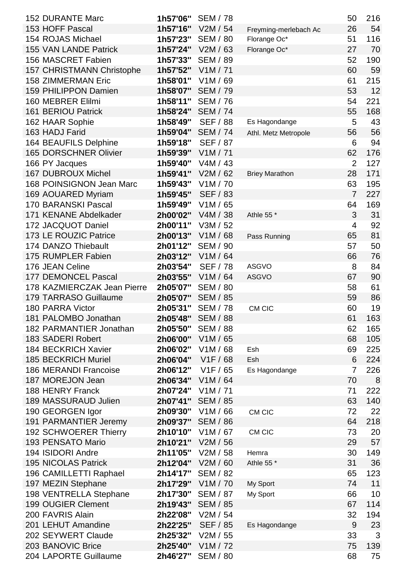| <b>152 DURANTE Marc</b>          | 1h57'06"  | <b>SEM / 78</b>   |                       | 50             | 216 |
|----------------------------------|-----------|-------------------|-----------------------|----------------|-----|
| 153 HOFF Pascal                  | 1h57'16"  | V2M / 54          | Freyming-merlebach Ac | 26             | 54  |
| 154 ROJAS Michael                | 1h57'23"  | <b>SEM / 80</b>   | Florange Oc*          | 51             | 116 |
| 155 VAN LANDE Patrick            | 1h57'24"  | V2M / 63          | Florange Oc*          | 27             | 70  |
| 156 MASCRET Fabien               | 1h57'33"  | <b>SEM / 89</b>   |                       | 52             | 190 |
| <b>157 CHRISTMANN Christophe</b> | 1h57'52"  | V1M / 71          |                       | 60             | 59  |
| <b>158 ZIMMERMAN Eric</b>        | 1h58'01"  | V1M / 69          |                       | 61             | 215 |
| 159 PHILIPPON Damien             | 1h58'07"  | <b>SEM / 79</b>   |                       | 53             | 12  |
| 160 MEBRER Elilmi                | 1h58'11"  | <b>SEM / 76</b>   |                       | 54             | 221 |
| <b>161 BERIOU Patrick</b>        | 1h58'24"  | <b>SEM / 74</b>   |                       | 55             | 168 |
| 162 HAAR Sophie                  | 1h58'49"  | <b>SEF / 88</b>   | Es Hagondange         | 5              | 43  |
| 163 HADJ Farid                   | 1h59'04"  | <b>SEM / 74</b>   | Athl. Metz Metropole  | 56             | 56  |
| 164 BEAUFILS Delphine            | 1h59'18"  | <b>SEF / 87</b>   |                       | 6              | 94  |
| <b>165 DORSCHNER Olivier</b>     | 1h59'39"  | V1M / 71          |                       | 62             | 176 |
| 166 PY Jacques                   | 1h59'40"  | V4M / 43          |                       | $\overline{2}$ | 127 |
| <b>167 DUBROUX Michel</b>        | 1h59'41"  | V2M / 62          | <b>Briey Marathon</b> | 28             | 171 |
| 168 POINSIGNON Jean Marc         | 1h59'43"  | V1M / 70          |                       | 63             | 195 |
| 169 AOUARED Myriam               | 1h59'45"  | <b>SEF / 83</b>   |                       | $\overline{7}$ | 227 |
| <b>170 BARANSKI Pascal</b>       | 1h59'49"  | V1M / 65          |                       | 64             | 169 |
| 171 KENANE Abdelkader            | 2h00'02"  | V4M / 38          | Athle 55 *            | 3              | 31  |
| 172 JACQUOT Daniel               | 2h00'11"  | V3M / 52          |                       | 4              | 92  |
| 173 LE ROUZIC Patrice            | 2h00'13"  | V1M / 68          | Pass Running          | 65             | 81  |
| 174 DANZO Thiebault              | 2h01'12"  | <b>SEM / 90</b>   |                       | 57             | 50  |
| 175 RUMPLER Fabien               | 2h03'12"  | V1M / 64          |                       | 66             | 76  |
| 176 JEAN Celine                  | 2h03'54"  | <b>SEF / 78</b>   | <b>ASGVO</b>          | 8              | 84  |
| <b>177 DEMONCEL Pascal</b>       | 2h03'55"  | V1M / 64          | <b>ASGVO</b>          | 67             | 90  |
| 178 KAZMIERCZAK Jean Pierre      | 2h05'07"  | <b>SEM / 80</b>   |                       | 58             | 61  |
| 179 TARRASO Guillaume            | 2h05'07"  | <b>SEM / 85</b>   |                       | 59             | 86  |
| 180 PARRA Victor                 | 2h05'31"  | <b>SEM / 78</b>   | CM CIC                | 60             | 19  |
| 181 PALOMBO Jonathan             | 2h05'48"  | <b>SEM / 88</b>   |                       | 61             | 163 |
| 182 PARMANTIER Jonathan          | 2h05'50"  | <b>SEM / 88</b>   |                       | 62             | 165 |
| 183 SADERI Robert                | 2h06'00"  | V1M/65            |                       | 68             | 105 |
| <b>184 BECKRICH Xavier</b>       | 2h06'02'' | V1M / 68          | Esh                   | 69             | 225 |
| <b>185 BECKRICH Muriel</b>       | 2h06'04"  | V1F / 68          | Esh                   | 6              | 224 |
| <b>186 MERANDI Francoise</b>     | 2h06'12"  | V1F / 65          | Es Hagondange         | 7              | 226 |
| 187 MOREJON Jean                 | 2h06'34"  | V1M / 64          |                       | 70             | 8   |
| 188 HENRY Franck                 | 2h07'24"  | V1M / 71          |                       | 71             | 222 |
| 189 MASSURAUD Julien             | 2h07'41"  | <b>SEM / 85</b>   |                       | 63             | 140 |
| 190 GEORGEN Igor                 | 2h09'30"  | V1M / 66          | CM CIC                | 72             | 22  |
| 191 PARMANTIER Jeremy            | 2h09'37"  | <b>SEM / 86</b>   |                       | 64             | 218 |
| 192 SCHWOERER Thierry            | 2h10'10"  | V1M / 67          | CM CIC                | 73             | 20  |
| 193 PENSATO Mario                | 2h10'21"  | V2M / 56          |                       | 29             | 57  |
| 194 ISIDORI Andre                | 2h11'05"  | V2M / 58          | Hemra                 | 30             | 149 |
| <b>195 NICOLAS Patrick</b>       | 2h12'04"  | V2M / 60          | Athle 55 *            | 31             | 36  |
| 196 CAMILLETTI Raphael           | 2h14'17"  | <b>SEM / 82</b>   |                       | 65             | 123 |
| 197 MEZIN Stephane               |           | 2h17'29" V1M / 70 | My Sport              | 74             | 11  |
| 198 VENTRELLA Stephane           | 2h17'30"  | <b>SEM / 87</b>   | My Sport              | 66             | 10  |
| 199 OUGIER Clement               | 2h19'43"  | <b>SEM / 85</b>   |                       | 67             | 114 |
| 200 FAVRIS Alain                 | 2h22'08"  | V2M / 54          |                       | 32             | 194 |
| 201 LEHUT Amandine               | 2h22'25"  | <b>SEF / 85</b>   | Es Hagondange         | 9              | 23  |
| 202 SEYWERT Claude               | 2h25'32"  | V2M / 55          |                       | 33             | 3   |
| 203 BANOVIC Brice                | 2h25'40"  | V1M / 72          |                       | 75             | 139 |
| 204 LAPORTE Guillaume            | 2h46'27"  | <b>SEM / 80</b>   |                       | 68             | 75  |